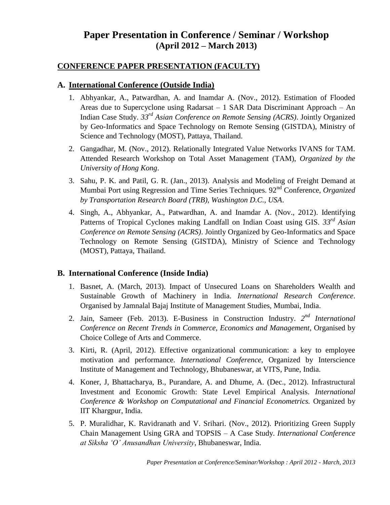# **Paper Presentation in Conference / Seminar / Workshop (April 2012 – March 2013)**

### **CONFERENCE PAPER PRESENTATION (FACULTY)**

#### **A. International Conference (Outside India)**

- 1. Abhyankar, A., Patwardhan, A. and Inamdar A. (Nov., 2012). Estimation of Flooded Areas due to Supercyclone using Radarsat – 1 SAR Data Discriminant Approach – An Indian Case Study. *33rd Asian Conference on Remote Sensing (ACRS)*. Jointly Organized by Geo-Informatics and Space Technology on Remote Sensing (GISTDA), Ministry of Science and Technology (MOST), Pattaya, Thailand.
- 2. Gangadhar, M. (Nov., 2012). Relationally Integrated Value Networks IVANS for TAM. Attended Research Workshop on Total Asset Management (TAM), *Organized by the University of Hong Kong*.
- 3. Sahu, P. K. and Patil, G. R. (Jan., 2013). Analysis and Modeling of Freight Demand at Mumbai Port using Regression and Time Series Techniques. 92nd Conference, *Organized by Transportation Research Board (TRB), Washington D.C., USA*.
- 4. Singh, A., Abhyankar, A., Patwardhan, A. and Inamdar A. (Nov., 2012). Identifying Patterns of Tropical Cyclones making Landfall on Indian Coast using GIS. *33rd Asian Conference on Remote Sensing (ACRS)*. Jointly Organized by Geo-Informatics and Space Technology on Remote Sensing (GISTDA), Ministry of Science and Technology (MOST), Pattaya, Thailand.

### **B. International Conference (Inside India)**

- 1. Basnet, A. (March, 2013). Impact of Unsecured Loans on Shareholders Wealth and Sustainable Growth of Machinery in India. *International Research Conference*. Organised by Jamnalal Bajaj Institute of Management Studies, Mumbai, India.
- 2. Jain, Sameer (Feb. 2013). E-Business in Construction Industry. 2<sup>nd</sup> International *Conference on Recent Trends in Commerce, Economics and Management*, Organised by Choice College of Arts and Commerce.
- 3. Kirti, R. (April, 2012). Effective organizational communication: a key to employee motivation and performance. *International Conference*, Organized by Interscience Institute of Management and Technology, Bhubaneswar, at VITS, Pune, India.
- 4. Koner, J, Bhattacharya, B., Purandare, A. and Dhume, A. (Dec., 2012). Infrastructural Investment and Economic Growth: State Level Empirical Analysis. *International Conference & Workshop on Computational and Financial Econometrics.* Organized by IIT Khargpur, India.
- 5. P. Muralidhar, K. Ravidranath and V. Srihari. (Nov., 2012). Prioritizing Green Supply Chain Management Using GRA and TOPSIS – A Case Study. *International Conference at Siksha 'O' Anusandhan University*, Bhubaneswar, India.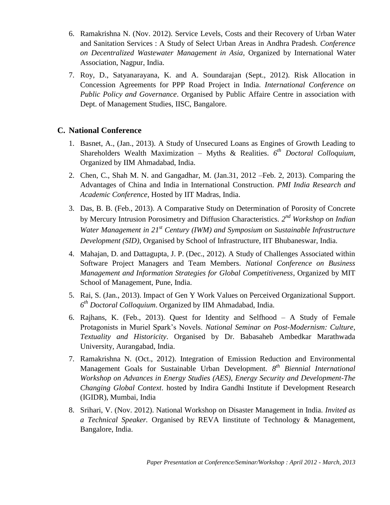- 6. Ramakrishna N. (Nov. 2012). Service Levels, Costs and their Recovery of Urban Water and Sanitation Services : A Study of Select Urban Areas in Andhra Pradesh. *Conference on Decentralized Wastewater Management in Asia,* Organized by International Water Association, Nagpur, India.
- 7. Roy, D., Satyanarayana, K. and A. Soundarajan (Sept., 2012). Risk Allocation in Concession Agreements for PPP Road Project in India. *International Conference on Public Policy and Governance*. Organised by Public Affaire Centre in association with Dept. of Management Studies, IISC, Bangalore.

### **C. National Conference**

- 1. Basnet, A., (Jan., 2013). A Study of Unsecured Loans as Engines of Growth Leading to Shareholders Wealth Maximization – Myths & Realities. *6 th Doctoral Colloquium*, Organized by IIM Ahmadabad, India.
- 2. Chen, C., Shah M. N. and Gangadhar, M. (Jan.31, 2012 –Feb. 2, 2013). Comparing the Advantages of China and India in International Construction. *PMI India Research and Academic Conference*, Hosted by IIT Madras, India.
- 3. Das, B. B. (Feb., 2013). A Comparative Study on Determination of Porosity of Concrete by Mercury Intrusion Porosimetry and Diffusion Characteristics. *2 nd Workshop on Indian Water Management in 21st Century (IWM) and Symposium on Sustainable Infrastructure Development (SID)*, Organised by School of Infrastructure, IIT Bhubaneswar, India.
- 4. Mahajan, D. and Dattagupta, J. P. (Dec., 2012). A Study of Challenges Associated within Software Project Managers and Team Members. *National Conference on Business Management and Information Strategies for Global Competitiveness*, Organized by MIT School of Management, Pune, India.
- 5. Rai, S. (Jan., 2013). Impact of Gen Y Work Values on Perceived Organizational Support. *6 th Doctoral Colloquium*. Organized by IIM Ahmadabad, India.
- 6. Rajhans, K. (Feb., 2013). Quest for Identity and Selfhood A Study of Female Protagonists in Muriel Spark's Novels. *National Seminar on Post-Modernism: Culture, Textuality and Historicity*. Organised by Dr. Babasaheb Ambedkar Marathwada University, Aurangabad, India.
- 7. Ramakrishna N. (Oct., 2012). Integration of Emission Reduction and Environmental Management Goals for Sustainable Urban Development. *8 th Biennial International Workshop on Advances in Energy Studies (AES), Energy Security and Development-The Changing Global Context*. hosted by Indira Gandhi Institute if Development Research (IGIDR), Mumbai, India
- 8. Srihari, V. (Nov. 2012). National Workshop on Disaster Management in India. *Invited as a Technical Speaker.* Organised by REVA Iinstitute of Technology & Management, Bangalore, India.